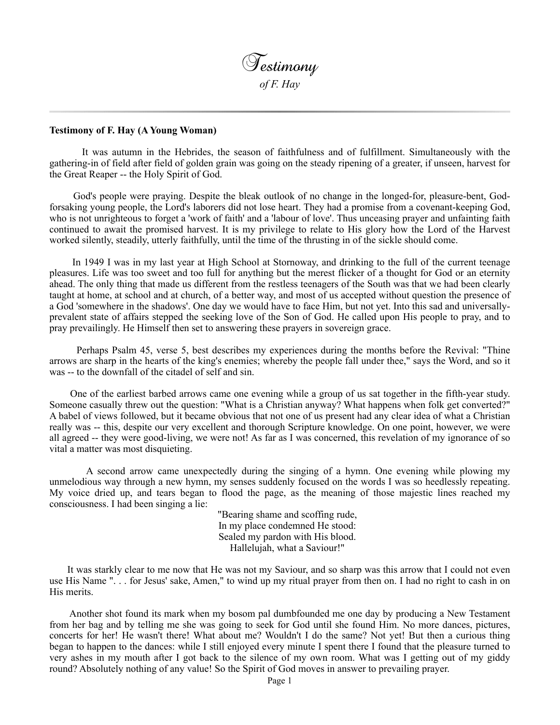

## **Testimony of F. Hay (A Young Woman)**

 It was autumn in the Hebrides, the season of faithfulness and of fulfillment. Simultaneously with the gathering-in of field after field of golden grain was going on the steady ripening of a greater, if unseen, harvest for the Great Reaper -- the Holy Spirit of God.

 God's people were praying. Despite the bleak outlook of no change in the longed-for, pleasure-bent, Godforsaking young people, the Lord's laborers did not lose heart. They had a promise from a covenant-keeping God, who is not unrighteous to forget a 'work of faith' and a 'labour of love'. Thus unceasing prayer and unfainting faith continued to await the promised harvest. It is my privilege to relate to His glory how the Lord of the Harvest worked silently, steadily, utterly faithfully, until the time of the thrusting in of the sickle should come.

 In 1949 I was in my last year at High School at Stornoway, and drinking to the full of the current teenage pleasures. Life was too sweet and too full for anything but the merest flicker of a thought for God or an eternity ahead. The only thing that made us different from the restless teenagers of the South was that we had been clearly taught at home, at school and at church, of a better way, and most of us accepted without question the presence of a God 'somewhere in the shadows'. One day we would have to face Him, but not yet. Into this sad and universallyprevalent state of affairs stepped the seeking love of the Son of God. He called upon His people to pray, and to pray prevailingly. He Himself then set to answering these prayers in sovereign grace.

 Perhaps Psalm 45, verse 5, best describes my experiences during the months before the Revival: "Thine arrows are sharp in the hearts of the king's enemies; whereby the people fall under thee," says the Word, and so it was -- to the downfall of the citadel of self and sin.

 One of the earliest barbed arrows came one evening while a group of us sat together in the fifth-year study. Someone casually threw out the question: "What is a Christian anyway? What happens when folk get converted?" A babel of views followed, but it became obvious that not one of us present had any clear idea of what a Christian really was -- this, despite our very excellent and thorough Scripture knowledge. On one point, however, we were all agreed -- they were good-living, we were not! As far as I was concerned, this revelation of my ignorance of so vital a matter was most disquieting.

 A second arrow came unexpectedly during the singing of a hymn. One evening while plowing my unmelodious way through a new hymn, my senses suddenly focused on the words I was so heedlessly repeating. My voice dried up, and tears began to flood the page, as the meaning of those majestic lines reached my consciousness. I had been singing a lie:

> "Bearing shame and scoffing rude, In my place condemned He stood: Sealed my pardon with His blood. Hallelujah, what a Saviour!"

 It was starkly clear to me now that He was not my Saviour, and so sharp was this arrow that I could not even use His Name ". . . for Jesus' sake, Amen," to wind up my ritual prayer from then on. I had no right to cash in on His merits.

 Another shot found its mark when my bosom pal dumbfounded me one day by producing a New Testament from her bag and by telling me she was going to seek for God until she found Him. No more dances, pictures, concerts for her! He wasn't there! What about me? Wouldn't I do the same? Not yet! But then a curious thing began to happen to the dances: while I still enjoyed every minute I spent there I found that the pleasure turned to very ashes in my mouth after I got back to the silence of my own room. What was I getting out of my giddy round? Absolutely nothing of any value! So the Spirit of God moves in answer to prevailing prayer.